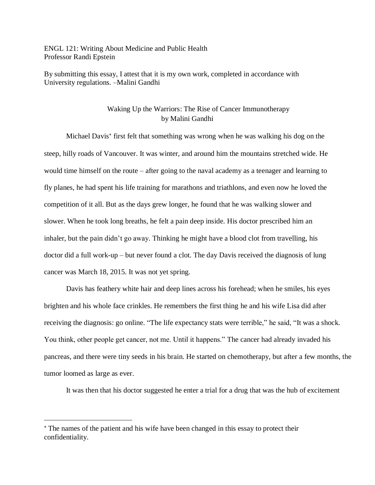ENGL 121: Writing About Medicine and Public Health Professor Randi Epstein

By submitting this essay, I attest that it is my own work, completed in accordance with University regulations*.* –Malini Gandhi

## Waking Up the Warriors: The Rise of Cancer Immunotherapy by Malini Gandhi

Michael Davis first felt that something was wrong when he was walking his dog on the steep, hilly roads of Vancouver. It was winter, and around him the mountains stretched wide. He would time himself on the route – after going to the naval academy as a teenager and learning to fly planes, he had spent his life training for marathons and triathlons, and even now he loved the competition of it all. But as the days grew longer, he found that he was walking slower and slower. When he took long breaths, he felt a pain deep inside. His doctor prescribed him an inhaler, but the pain didn't go away. Thinking he might have a blood clot from travelling, his doctor did a full work-up – but never found a clot. The day Davis received the diagnosis of lung cancer was March 18, 2015. It was not yet spring.

Davis has feathery white hair and deep lines across his forehead; when he smiles, his eyes brighten and his whole face crinkles. He remembers the first thing he and his wife Lisa did after receiving the diagnosis: go online. "The life expectancy stats were terrible," he said, "It was a shock. You think, other people get cancer, not me. Until it happens." The cancer had already invaded his pancreas, and there were tiny seeds in his brain. He started on chemotherapy, but after a few months, the tumor loomed as large as ever.

It was then that his doctor suggested he enter a trial for a drug that was the hub of excitement

The names of the patient and his wife have been changed in this essay to protect their confidentiality.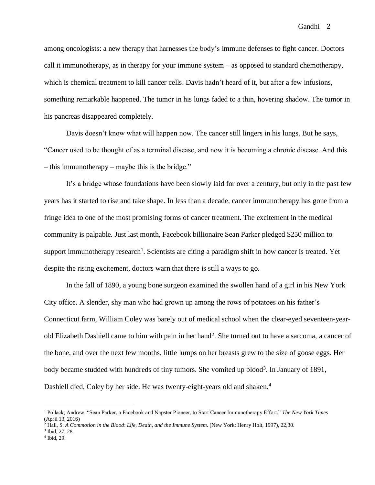among oncologists: a new therapy that harnesses the body's immune defenses to fight cancer. Doctors call it immunotherapy, as in therapy for your immune system – as opposed to standard chemotherapy, which is chemical treatment to kill cancer cells. Davis hadn't heard of it, but after a few infusions, something remarkable happened. The tumor in his lungs faded to a thin, hovering shadow. The tumor in his pancreas disappeared completely.

Davis doesn't know what will happen now. The cancer still lingers in his lungs. But he says, "Cancer used to be thought of as a terminal disease, and now it is becoming a chronic disease. And this – this immunotherapy – maybe this is the bridge."

It's a bridge whose foundations have been slowly laid for over a century, but only in the past few years has it started to rise and take shape. In less than a decade, cancer immunotherapy has gone from a fringe idea to one of the most promising forms of cancer treatment. The excitement in the medical community is palpable. Just last month, Facebook billionaire Sean Parker pledged \$250 million to support immunotherapy research<sup>1</sup>. Scientists are citing a paradigm shift in how cancer is treated. Yet despite the rising excitement, doctors warn that there is still a ways to go.

In the fall of 1890, a young bone surgeon examined the swollen hand of a girl in his New York City office. A slender, shy man who had grown up among the rows of potatoes on his father's Connecticut farm, William Coley was barely out of medical school when the clear-eyed seventeen-yearold Elizabeth Dashiell came to him with pain in her hand<sup>2</sup>. She turned out to have a sarcoma, a cancer of the bone, and over the next few months, little lumps on her breasts grew to the size of goose eggs. Her body became studded with hundreds of tiny tumors. She vomited up blood<sup>3</sup>. In January of 1891, Dashiell died, Coley by her side. He was twenty-eight-years old and shaken.<sup>4</sup>

<sup>1</sup> Pollack, Andrew. "Sean Parker, a Facebook and Napster Pioneer, to Start Cancer Immunotherapy Effort." *The New York Times* (April 13, 2016)

<sup>2</sup> Hall, S. *A Commotion in the Blood*: *Life, Death, and the Immune System*. (New York: Henry Holt, 1997), 22,30.

<sup>3</sup> Ibid, 27, 28.

<sup>4</sup> Ibid, 29.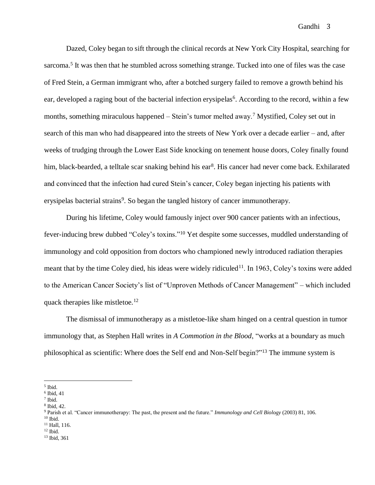Dazed, Coley began to sift through the clinical records at New York City Hospital, searching for sarcoma.<sup>5</sup> It was then that he stumbled across something strange. Tucked into one of files was the case of Fred Stein, a German immigrant who, after a botched surgery failed to remove a growth behind his ear, developed a raging bout of the bacterial infection erysipelas<sup>6</sup>. According to the record, within a few months, something miraculous happened – Stein's tumor melted away.<sup>7</sup> Mystified, Coley set out in search of this man who had disappeared into the streets of New York over a decade earlier – and, after weeks of trudging through the Lower East Side knocking on tenement house doors, Coley finally found him, black-bearded, a telltale scar snaking behind his ear<sup>8</sup>. His cancer had never come back. Exhilarated and convinced that the infection had cured Stein's cancer, Coley began injecting his patients with erysipelas bacterial strains<sup>9</sup>. So began the tangled history of cancer immunotherapy.

During his lifetime, Coley would famously inject over 900 cancer patients with an infectious, fever-inducing brew dubbed "Coley's toxins."<sup>10</sup> Yet despite some successes, muddled understanding of immunology and cold opposition from doctors who championed newly introduced radiation therapies meant that by the time Coley died, his ideas were widely ridiculed<sup>11</sup>. In 1963, Coley's toxins were added to the American Cancer Society's list of "Unproven Methods of Cancer Management" – which included quack therapies like mistletoe.<sup>12</sup>

The dismissal of immunotherapy as a mistletoe-like sham hinged on a central question in tumor immunology that, as Stephen Hall writes in *A Commotion in the Blood*, "works at a boundary as much philosophical as scientific: Where does the Self end and Non-Self begin?"<sup>13</sup> The immune system is

 $\overline{\phantom{a}}$ 

<sup>11</sup> Hall, 116.

<sup>13</sup> Ibid, 361

<sup>5</sup> Ibid.

<sup>6</sup> Ibid, 41

<sup>7</sup> Ibid.

<sup>8</sup> Ibid, 42.

<sup>9</sup> Parish et al. "Cancer immunotherapy: The past, the present and the future." *Immunology and Cell Biology* (2003) 81, 106.  $10$  Ibid.

 $12$  Ibid.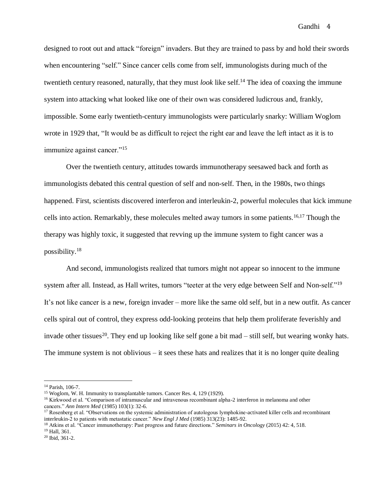designed to root out and attack "foreign" invaders. But they are trained to pass by and hold their swords when encountering "self." Since cancer cells come from self, immunologists during much of the twentieth century reasoned, naturally, that they must *look* like self. <sup>14</sup> The idea of coaxing the immune system into attacking what looked like one of their own was considered ludicrous and, frankly, impossible. Some early twentieth-century immunologists were particularly snarky: William Woglom wrote in 1929 that, "It would be as difficult to reject the right ear and leave the left intact as it is to immunize against cancer."<sup>15</sup>

Over the twentieth century, attitudes towards immunotherapy seesawed back and forth as immunologists debated this central question of self and non-self. Then, in the 1980s, two things happened. First, scientists discovered interferon and interleukin-2, powerful molecules that kick immune cells into action. Remarkably, these molecules melted away tumors in some patients.16,17 Though the therapy was highly toxic, it suggested that revving up the immune system to fight cancer was a possibility.<sup>18</sup>

And second, immunologists realized that tumors might not appear so innocent to the immune system after all. Instead, as Hall writes, tumors "teeter at the very edge between Self and Non-self."<sup>19</sup> It's not like cancer is a new, foreign invader – more like the same old self, but in a new outfit. As cancer cells spiral out of control, they express odd-looking proteins that help them proliferate feverishly and invade other tissues<sup>20</sup>. They end up looking like self gone a bit mad  $-$  still self, but wearing wonky hats. The immune system is not oblivious – it sees these hats and realizes that it is no longer quite dealing

<sup>14</sup> Parish, 106-7.

<sup>&</sup>lt;sup>15</sup> Woglom, W. H. Immunity to transplantable tumors. Cancer Res. 4, 129 (1929).

<sup>16</sup> Kirkwood et al. "Comparison of intramuscular and intravenous recombinant alpha-2 interferon in melanoma and other cancers." *Ann Intern Med* (1985) 103(1): 32-6.

<sup>&</sup>lt;sup>17</sup> Rosenberg et al. "Observations on the systemic administration of autologous lymphokine-activated killer cells and recombinant interleukin-2 to patients with metastatic cancer." *New Engl J Med* (1985) 313(23): 1485-92.

<sup>18</sup> Atkins et al. "Cancer immunotherapy: Past progress and future directions." *Seminars in Oncology* (2015) 42: 4, 518. <sup>19</sup> Hall, 361.

<sup>20</sup> Ibid, 361-2.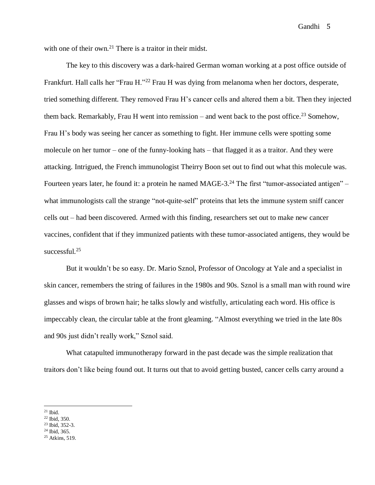with one of their own.<sup>21</sup> There is a traitor in their midst.

The key to this discovery was a dark-haired German woman working at a post office outside of Frankfurt. Hall calls her "Frau H."<sup>22</sup> Frau H was dying from melanoma when her doctors, desperate, tried something different. They removed Frau H's cancer cells and altered them a bit. Then they injected them back. Remarkably, Frau H went into remission – and went back to the post office.<sup>23</sup> Somehow, Frau H's body was seeing her cancer as something to fight. Her immune cells were spotting some molecule on her tumor – one of the funny-looking hats – that flagged it as a traitor. And they were attacking. Intrigued, the French immunologist Theirry Boon set out to find out what this molecule was. Fourteen years later, he found it: a protein he named MAGE-3.<sup>24</sup> The first "tumor-associated antigen" – what immunologists call the strange "not-quite-self" proteins that lets the immune system sniff cancer cells out – had been discovered. Armed with this finding, researchers set out to make new cancer vaccines, confident that if they immunized patients with these tumor-associated antigens, they would be successful.<sup>25</sup>

But it wouldn't be so easy. Dr. Mario Sznol, Professor of Oncology at Yale and a specialist in skin cancer, remembers the string of failures in the 1980s and 90s. Sznol is a small man with round wire glasses and wisps of brown hair; he talks slowly and wistfully, articulating each word. His office is impeccably clean, the circular table at the front gleaming. "Almost everything we tried in the late 80s and 90s just didn't really work," Sznol said.

What catapulted immunotherapy forward in the past decade was the simple realization that traitors don't like being found out. It turns out that to avoid getting busted, cancer cells carry around a

 $\overline{\phantom{a}}$  $21$  Ibid.

<sup>22</sup> Ibid, 350.

<sup>23</sup> Ibid, 352-3.

 $24$  Ibid, 365.

<sup>25</sup> Atkins, 519.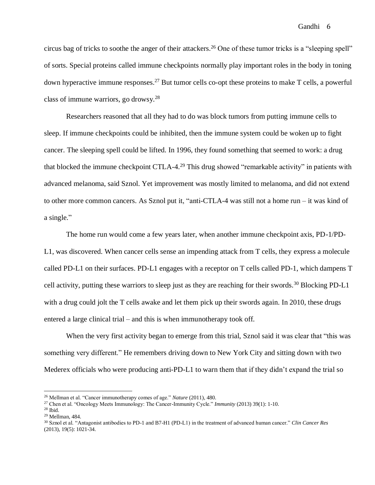circus bag of tricks to soothe the anger of their attackers.<sup>26</sup> One of these tumor tricks is a "sleeping spell" of sorts. Special proteins called immune checkpoints normally play important roles in the body in toning down hyperactive immune responses.<sup>27</sup> But tumor cells co-opt these proteins to make T cells, a powerful class of immune warriors, go drowsy.<sup>28</sup>

Researchers reasoned that all they had to do was block tumors from putting immune cells to sleep. If immune checkpoints could be inhibited, then the immune system could be woken up to fight cancer. The sleeping spell could be lifted. In 1996, they found something that seemed to work: a drug that blocked the immune checkpoint CTLA-4.<sup>29</sup> This drug showed "remarkable activity" in patients with advanced melanoma, said Sznol. Yet improvement was mostly limited to melanoma, and did not extend to other more common cancers. As Sznol put it, "anti-CTLA-4 was still not a home run – it was kind of a single."

The home run would come a few years later, when another immune checkpoint axis, PD-1/PD-L1, was discovered. When cancer cells sense an impending attack from T cells, they express a molecule called PD-L1 on their surfaces. PD-L1 engages with a receptor on T cells called PD-1, which dampens T cell activity, putting these warriors to sleep just as they are reaching for their swords.<sup>30</sup> Blocking PD-L1 with a drug could jolt the T cells awake and let them pick up their swords again. In 2010, these drugs entered a large clinical trial – and this is when immunotherapy took off.

When the very first activity began to emerge from this trial, Sznol said it was clear that "this was something very different." He remembers driving down to New York City and sitting down with two Mederex officials who were producing anti-PD-L1 to warn them that if they didn't expand the trial so

l

<sup>26</sup> Mellman et al. "Cancer immunotherapy comes of age." *Nature* (2011), 480.

<sup>27</sup> Chen et al. "Oncology Meets Immunology: The Cancer-Immunity Cycle." *Immunity* (2013) 39(1): 1-10.

<sup>28</sup> Ibid.

<sup>29</sup> Mellman, 484.

<sup>30</sup> Sznol et al. "Antagonist antibodies to PD-1 and B7-H1 (PD-L1) in the treatment of advanced human cancer." *Clin Cancer Res*  (2013), 19(5): 1021-34.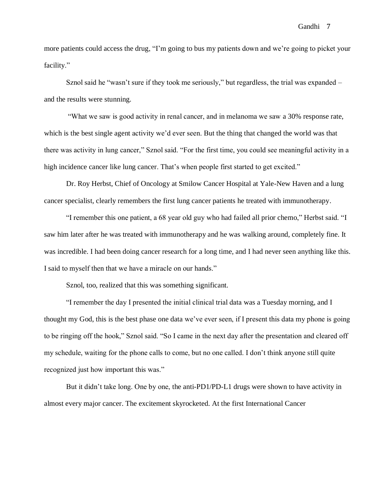more patients could access the drug, "I'm going to bus my patients down and we're going to picket your facility."

Sznol said he "wasn't sure if they took me seriously," but regardless, the trial was expanded – and the results were stunning.

"What we saw is good activity in renal cancer, and in melanoma we saw a 30% response rate, which is the best single agent activity we'd ever seen. But the thing that changed the world was that there was activity in lung cancer," Sznol said. "For the first time, you could see meaningful activity in a high incidence cancer like lung cancer. That's when people first started to get excited."

Dr. Roy Herbst, Chief of Oncology at Smilow Cancer Hospital at Yale-New Haven and a lung cancer specialist, clearly remembers the first lung cancer patients he treated with immunotherapy.

"I remember this one patient, a 68 year old guy who had failed all prior chemo," Herbst said. "I saw him later after he was treated with immunotherapy and he was walking around, completely fine. It was incredible. I had been doing cancer research for a long time, and I had never seen anything like this. I said to myself then that we have a miracle on our hands."

Sznol, too, realized that this was something significant.

"I remember the day I presented the initial clinical trial data was a Tuesday morning, and I thought my God, this is the best phase one data we've ever seen, if I present this data my phone is going to be ringing off the hook," Sznol said. "So I came in the next day after the presentation and cleared off my schedule, waiting for the phone calls to come, but no one called. I don't think anyone still quite recognized just how important this was."

But it didn't take long. One by one, the anti-PD1/PD-L1 drugs were shown to have activity in almost every major cancer. The excitement skyrocketed. At the first International Cancer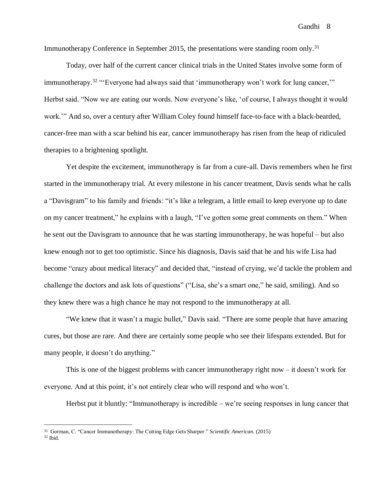Immunotherapy Conference in September 2015, the presentations were standing room only.<sup>31</sup>

Today, over half of the current cancer clinical trials in the United States involve some form of immunotherapy.<sup>32</sup> "Everyone had always said that 'immunotherapy won't work for lung cancer," Herbst said. "Now we are eating our words. Now everyone's like, 'of course, I always thought it would work.'" And so, over a century after William Coley found himself face-to-face with a black-bearded, cancer-free man with a scar behind his ear, cancer immunotherapy has risen from the heap of ridiculed therapies to a brightening spotlight.

Yet despite the excitement, immunotherapy is far from a cure-all. Davis remembers when he first started in the immunotherapy trial. At every milestone in his cancer treatment, Davis sends what he calls a "Davisgram" to his family and friends: "it's like a telegram, a little email to keep everyone up to date on my cancer treatment," he explains with a laugh, "I've gotten some great comments on them." When he sent out the Davisgram to announce that he was starting immunotherapy, he was hopeful – but also knew enough not to get too optimistic. Since his diagnosis, Davis said that he and his wife Lisa had become "crazy about medical literacy" and decided that, "instead of crying, we'd tackle the problem and challenge the doctors and ask lots of questions" ("Lisa, she's a smart one," he said, smiling). And so they knew there was a high chance he may not respond to the immunotherapy at all.

"We knew that it wasn't a magic bullet," Davis said. "There are some people that have amazing cures, but those are rare. And there are certainly some people who see their lifespans extended. But for many people, it doesn't do anything."

This is one of the biggest problems with cancer immunotherapy right now – it doesn't work for everyone. And at this point, it's not entirely clear who will respond and who won't.

Herbst put it bluntly: "Immunotherapy is incredible – we're seeing responses in lung cancer that

<sup>31</sup> Gorman, C. "Cancer Immunotherapy: The Cutting Edge Gets Sharper." *Scientific American*. (2015)  $^{\rm 32}$  Ibid.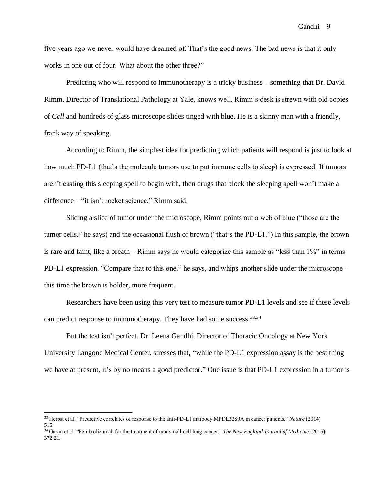five years ago we never would have dreamed of. That's the good news. The bad news is that it only works in one out of four. What about the other three?"

Predicting who will respond to immunotherapy is a tricky business – something that Dr. David Rimm, Director of Translational Pathology at Yale, knows well. Rimm's desk is strewn with old copies of *Cell* and hundreds of glass microscope slides tinged with blue. He is a skinny man with a friendly, frank way of speaking.

According to Rimm, the simplest idea for predicting which patients will respond is just to look at how much PD-L1 (that's the molecule tumors use to put immune cells to sleep) is expressed. If tumors aren't casting this sleeping spell to begin with, then drugs that block the sleeping spell won't make a difference – "it isn't rocket science," Rimm said.

Sliding a slice of tumor under the microscope, Rimm points out a web of blue ("those are the tumor cells," he says) and the occasional flush of brown ("that's the PD-L1.") In this sample, the brown is rare and faint, like a breath – Rimm says he would categorize this sample as "less than 1%" in terms PD-L1 expression. "Compare that to this one," he says, and whips another slide under the microscope – this time the brown is bolder, more frequent.

Researchers have been using this very test to measure tumor PD-L1 levels and see if these levels can predict response to immunotherapy. They have had some success.<sup>33,34</sup>

But the test isn't perfect. Dr. Leena Gandhi, Director of Thoracic Oncology at New York University Langone Medical Center, stresses that, "while the PD-L1 expression assay is the best thing we have at present, it's by no means a good predictor." One issue is that PD-L1 expression in a tumor is

<sup>33</sup> Herbst et al. "Predictive correlates of response to the anti-PD-L1 antibody MPDL3280A in cancer patients." *Nature* (2014) 515.

<sup>34</sup> Garon et al. "Pembrolizumab for the treatment of non-small-cell lung cancer." *The New England Journal of Medicine* (2015) 372:21.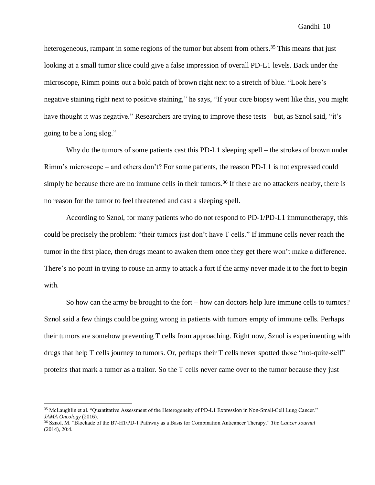heterogeneous, rampant in some regions of the tumor but absent from others.<sup>35</sup> This means that just looking at a small tumor slice could give a false impression of overall PD-L1 levels. Back under the microscope, Rimm points out a bold patch of brown right next to a stretch of blue. "Look here's negative staining right next to positive staining," he says, "If your core biopsy went like this, you might have thought it was negative." Researchers are trying to improve these tests – but, as Sznol said, "it's going to be a long slog."

Why do the tumors of some patients cast this PD-L1 sleeping spell – the strokes of brown under Rimm's microscope – and others don't? For some patients, the reason PD-L1 is not expressed could simply be because there are no immune cells in their tumors.<sup>36</sup> If there are no attackers nearby, there is no reason for the tumor to feel threatened and cast a sleeping spell.

According to Sznol, for many patients who do not respond to PD-1/PD-L1 immunotherapy, this could be precisely the problem: "their tumors just don't have T cells." If immune cells never reach the tumor in the first place, then drugs meant to awaken them once they get there won't make a difference. There's no point in trying to rouse an army to attack a fort if the army never made it to the fort to begin with.

So how can the army be brought to the fort – how can doctors help lure immune cells to tumors? Sznol said a few things could be going wrong in patients with tumors empty of immune cells. Perhaps their tumors are somehow preventing T cells from approaching. Right now, Sznol is experimenting with drugs that help T cells journey to tumors. Or, perhaps their T cells never spotted those "not-quite-self" proteins that mark a tumor as a traitor. So the T cells never came over to the tumor because they just

<sup>35</sup> McLaughlin et al. "Quantitative Assessment of the Heterogeneity of PD-L1 Expression in Non-Small-Cell Lung Cancer." *JAMA Oncology* (2016).

<sup>36</sup> Sznol, M. "Blockade of the B7-H1/PD-1 Pathway as a Basis for Combination Anticancer Therapy." *The Cancer Journal*  (2014), 20:4.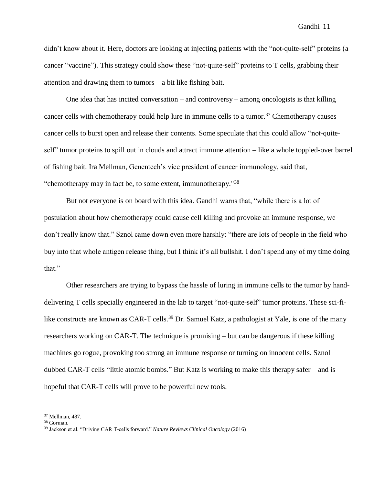didn't know about it. Here, doctors are looking at injecting patients with the "not-quite-self" proteins (a cancer "vaccine"). This strategy could show these "not-quite-self" proteins to T cells, grabbing their attention and drawing them to tumors – a bit like fishing bait.

One idea that has incited conversation – and controversy – among oncologists is that killing cancer cells with chemotherapy could help lure in immune cells to a tumor. <sup>37</sup> Chemotherapy causes cancer cells to burst open and release their contents. Some speculate that this could allow "not-quiteself" tumor proteins to spill out in clouds and attract immune attention – like a whole toppled-over barrel of fishing bait. Ira Mellman, Genentech's vice president of cancer immunology, said that, "chemotherapy may in fact be, to some extent, immunotherapy."<sup>38</sup>

But not everyone is on board with this idea. Gandhi warns that, "while there is a lot of postulation about how chemotherapy could cause cell killing and provoke an immune response, we don't really know that." Sznol came down even more harshly: "there are lots of people in the field who buy into that whole antigen release thing, but I think it's all bullshit. I don't spend any of my time doing that."

Other researchers are trying to bypass the hassle of luring in immune cells to the tumor by handdelivering T cells specially engineered in the lab to target "not-quite-self" tumor proteins. These sci-filike constructs are known as CAR-T cells.<sup>39</sup> Dr. Samuel Katz, a pathologist at Yale, is one of the many researchers working on CAR-T. The technique is promising – but can be dangerous if these killing machines go rogue, provoking too strong an immune response or turning on innocent cells. Sznol dubbed CAR-T cells "little atomic bombs." But Katz is working to make this therapy safer – and is hopeful that CAR-T cells will prove to be powerful new tools.

<sup>37</sup> Mellman, 487.

<sup>38</sup> Gorman.

<sup>39</sup> Jackson et al. "Driving CAR T-cells forward." *Nature Reviews Clinical Oncology* (2016)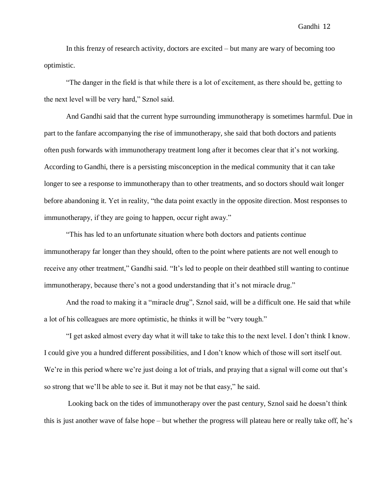In this frenzy of research activity, doctors are excited – but many are wary of becoming too optimistic.

"The danger in the field is that while there is a lot of excitement, as there should be, getting to the next level will be very hard," Sznol said.

And Gandhi said that the current hype surrounding immunotherapy is sometimes harmful. Due in part to the fanfare accompanying the rise of immunotherapy, she said that both doctors and patients often push forwards with immunotherapy treatment long after it becomes clear that it's not working. According to Gandhi, there is a persisting misconception in the medical community that it can take longer to see a response to immunotherapy than to other treatments, and so doctors should wait longer before abandoning it. Yet in reality, "the data point exactly in the opposite direction. Most responses to immunotherapy, if they are going to happen, occur right away."

"This has led to an unfortunate situation where both doctors and patients continue immunotherapy far longer than they should, often to the point where patients are not well enough to receive any other treatment," Gandhi said. "It's led to people on their deathbed still wanting to continue immunotherapy, because there's not a good understanding that it's not miracle drug."

And the road to making it a "miracle drug", Sznol said, will be a difficult one. He said that while a lot of his colleagues are more optimistic, he thinks it will be "very tough."

"I get asked almost every day what it will take to take this to the next level. I don't think I know. I could give you a hundred different possibilities, and I don't know which of those will sort itself out. We're in this period where we're just doing a lot of trials, and praying that a signal will come out that's so strong that we'll be able to see it. But it may not be that easy," he said.

Looking back on the tides of immunotherapy over the past century, Sznol said he doesn't think this is just another wave of false hope – but whether the progress will plateau here or really take off, he's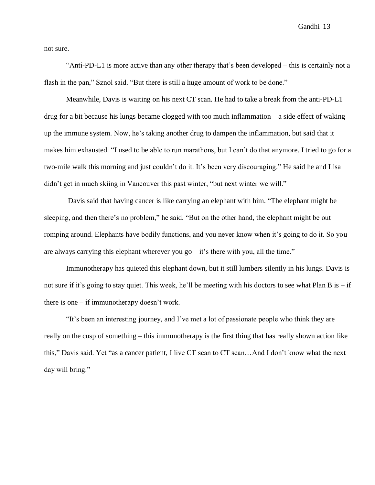not sure.

"Anti-PD-L1 is more active than any other therapy that's been developed – this is certainly not a flash in the pan," Sznol said. "But there is still a huge amount of work to be done."

Meanwhile, Davis is waiting on his next CT scan. He had to take a break from the anti-PD-L1 drug for a bit because his lungs became clogged with too much inflammation – a side effect of waking up the immune system. Now, he's taking another drug to dampen the inflammation, but said that it makes him exhausted. "I used to be able to run marathons, but I can't do that anymore. I tried to go for a two-mile walk this morning and just couldn't do it. It's been very discouraging." He said he and Lisa didn't get in much skiing in Vancouver this past winter, "but next winter we will."

Davis said that having cancer is like carrying an elephant with him. "The elephant might be sleeping, and then there's no problem," he said. "But on the other hand, the elephant might be out romping around. Elephants have bodily functions, and you never know when it's going to do it. So you are always carrying this elephant wherever you go  $-$  it's there with you, all the time."

Immunotherapy has quieted this elephant down, but it still lumbers silently in his lungs. Davis is not sure if it's going to stay quiet. This week, he'll be meeting with his doctors to see what Plan B is – if there is one – if immunotherapy doesn't work.

"It's been an interesting journey, and I've met a lot of passionate people who think they are really on the cusp of something – this immunotherapy is the first thing that has really shown action like this," Davis said. Yet "as a cancer patient, I live CT scan to CT scan…And I don't know what the next day will bring."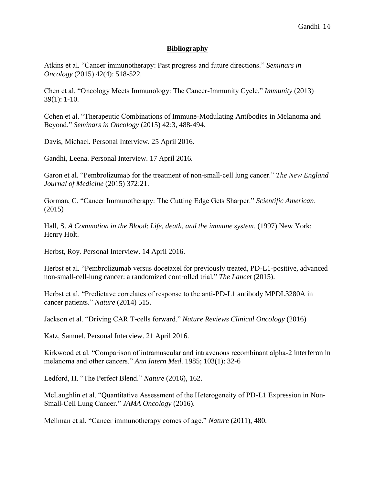## **Bibliography**

Atkins et al. "Cancer immunotherapy: Past progress and future directions." *Seminars in Oncology* (2015) 42(4): 518-522.

Chen et al. "Oncology Meets Immunology: The Cancer-Immunity Cycle." *Immunity* (2013) 39(1): 1-10.

Cohen et al. "Therapeutic Combinations of Immune-Modulating Antibodies in Melanoma and Beyond." *Seminars in Oncology* (2015) 42:3, 488-494.

Davis, Michael. Personal Interview. 25 April 2016.

Gandhi, Leena. Personal Interview. 17 April 2016.

Garon et al. "Pembrolizumab for the treatment of non-small-cell lung cancer." *The New England Journal of Medicine* (2015) 372:21.

Gorman, C. "Cancer Immunotherapy: The Cutting Edge Gets Sharper." *Scientific American*. (2015)

Hall, S. *A Commotion in the Blood*: *Life, death, and the immune system*. (1997) New York: Henry Holt.

Herbst, Roy. Personal Interview. 14 April 2016.

Herbst et al. "Pembrolizumab versus docetaxel for previously treated, PD-L1-positive, advanced non-small-cell-lung cancer: a randomized controlled trial." *The Lancet* (2015).

Herbst et al. "Predictave correlates of response to the anti-PD-L1 antibody MPDL3280A in cancer patients." *Nature* (2014) 515.

Jackson et al. "Driving CAR T-cells forward." *Nature Reviews Clinical Oncology* (2016)

Katz, Samuel. Personal Interview. 21 April 2016.

Kirkwood et al. "Comparison of intramuscular and intravenous recombinant alpha-2 interferon in melanoma and other cancers." *Ann Intern Med*. 1985; 103(1): 32-6

Ledford, H. "The Perfect Blend." *Nature* (2016), 162.

McLaughlin et al. "Quantitative Assessment of the Heterogeneity of PD-L1 Expression in Non-Small-Cell Lung Cancer." *JAMA Oncology* (2016).

Mellman et al. "Cancer immunotherapy comes of age." *Nature* (2011), 480.